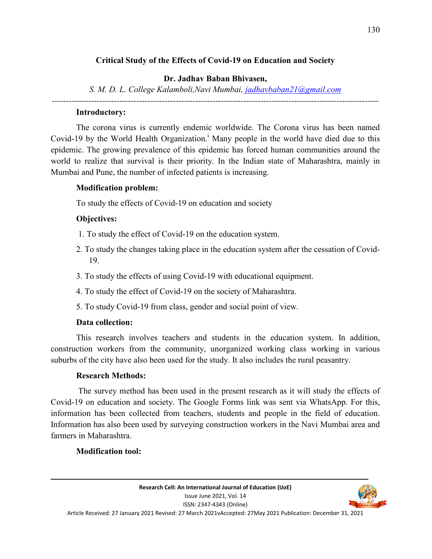# **Critical Study of the Effects of Covid-19 on Education and Society**

### **Dr. Jadhav Baban Bhivasen,**

*S. M. D. L. College Kalamboli,Navi Mumbai, jadhavbaban21@gmail.com*

### *--------------------------------------------------------------------------------------------------------------------*

### **Introductory:**

The corona virus is currently endemic worldwide. The Corona virus has been named Covid-19 by the World Health Organization.<sup>i</sup> Many people in the world have died due to this epidemic. The growing prevalence of this epidemic has forced human communities around the world to realize that survival is their priority. In the Indian state of Maharashtra, mainly in Mumbai and Pune, the number of infected patients is increasing.

# **Modification problem:**

To study the effects of Covid-19 on education and society

# **Objectives:**

- 1. To study the effect of Covid-19 on the education system.
- 2. To study the changes taking place in the education system after the cessation of Covid-19.
- 3. To study the effects of using Covid-19 with educational equipment.
- 4. To study the effect of Covid-19 on the society of Maharashtra.
- 5. To study Covid-19 from class, gender and social point of view.

# **Data collection:**

This research involves teachers and students in the education system. In addition, construction workers from the community, unorganized working class working in various suburbs of the city have also been used for the study. It also includes the rural peasantry.

### **Research Methods:**

 The survey method has been used in the present research as it will study the effects of Covid-19 on education and society. The Google Forms link was sent via WhatsApp. For this, information has been collected from teachers, students and people in the field of education. Information has also been used by surveying construction workers in the Navi Mumbai area and farmers in Maharashtra.

### **Modification tool:**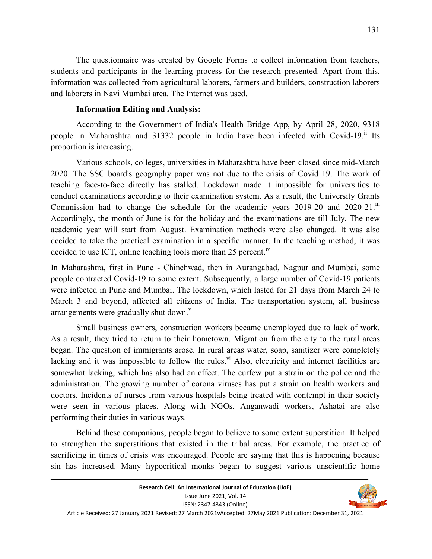The questionnaire was created by Google Forms to collect information from teachers, students and participants in the learning process for the research presented. Apart from this, information was collected from agricultural laborers, farmers and builders, construction laborers and laborers in Navi Mumbai area. The Internet was used.

#### **Information Editing and Analysis:**

According to the Government of India's Health Bridge App, by April 28, 2020, 9318 people in Maharashtra and 31332 people in India have been infected with Covid-19.<sup>ii</sup> Its proportion is increasing.

Various schools, colleges, universities in Maharashtra have been closed since mid-March 2020. The SSC board's geography paper was not due to the crisis of Covid 19. The work of teaching face-to-face directly has stalled. Lockdown made it impossible for universities to conduct examinations according to their examination system. As a result, the University Grants Commission had to change the schedule for the academic years 2019-20 and 2020-21.<sup>iii</sup> Accordingly, the month of June is for the holiday and the examinations are till July. The new academic year will start from August. Examination methods were also changed. It was also decided to take the practical examination in a specific manner. In the teaching method, it was decided to use ICT, online teaching tools more than 25 percent.<sup> $N$ </sup>

In Maharashtra, first in Pune - Chinchwad, then in Aurangabad, Nagpur and Mumbai, some people contracted Covid-19 to some extent. Subsequently, a large number of Covid-19 patients were infected in Pune and Mumbai. The lockdown, which lasted for 21 days from March 24 to March 3 and beyond, affected all citizens of India. The transportation system, all business arrangements were gradually shut down. $\overline{v}$ 

Small business owners, construction workers became unemployed due to lack of work. As a result, they tried to return to their hometown. Migration from the city to the rural areas began. The question of immigrants arose. In rural areas water, soap, sanitizer were completely lacking and it was impossible to follow the rules.<sup>vi</sup> Also, electricity and internet facilities are somewhat lacking, which has also had an effect. The curfew put a strain on the police and the administration. The growing number of corona viruses has put a strain on health workers and doctors. Incidents of nurses from various hospitals being treated with contempt in their society were seen in various places. Along with NGOs, Anganwadi workers, Ashatai are also performing their duties in various ways.

Behind these companions, people began to believe to some extent superstition. It helped to strengthen the superstitions that existed in the tribal areas. For example, the practice of sacrificing in times of crisis was encouraged. People are saying that this is happening because sin has increased. Many hypocritical monks began to suggest various unscientific home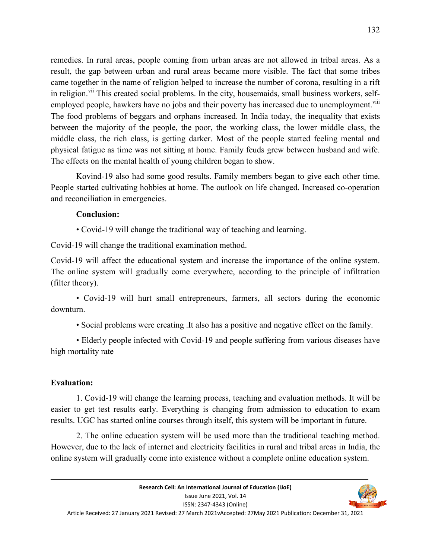remedies. In rural areas, people coming from urban areas are not allowed in tribal areas. As a result, the gap between urban and rural areas became more visible. The fact that some tribes came together in the name of religion helped to increase the number of corona, resulting in a rift in religion.<sup>vii</sup> This created social problems. In the city, housemaids, small business workers, selfemployed people, hawkers have no jobs and their poverty has increased due to unemployment.<sup>viii</sup> The food problems of beggars and orphans increased. In India today, the inequality that exists between the majority of the people, the poor, the working class, the lower middle class, the middle class, the rich class, is getting darker. Most of the people started feeling mental and physical fatigue as time was not sitting at home. Family feuds grew between husband and wife. The effects on the mental health of young children began to show.

Kovind-19 also had some good results. Family members began to give each other time. People started cultivating hobbies at home. The outlook on life changed. Increased co-operation and reconciliation in emergencies.

### **Conclusion:**

• Covid-19 will change the traditional way of teaching and learning.

Covid-19 will change the traditional examination method.

Covid-19 will affect the educational system and increase the importance of the online system. The online system will gradually come everywhere, according to the principle of infiltration (filter theory).

• Covid-19 will hurt small entrepreneurs, farmers, all sectors during the economic downturn.

• Social problems were creating .It also has a positive and negative effect on the family.

• Elderly people infected with Covid-19 and people suffering from various diseases have high mortality rate

#### **Evaluation:**

1. Covid-19 will change the learning process, teaching and evaluation methods. It will be easier to get test results early. Everything is changing from admission to education to exam results. UGC has started online courses through itself, this system will be important in future.

2. The online education system will be used more than the traditional teaching method. However, due to the lack of internet and electricity facilities in rural and tribal areas in India, the online system will gradually come into existence without a complete online education system.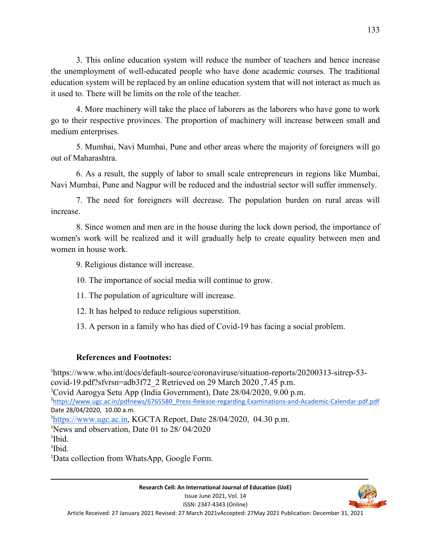3. This online education system will reduce the number of teachers and hence increase the unemployment of well-educated people who have done academic courses. The traditional education system will be replaced by an online education system that will not interact as much as it used to. There will be limits on the role of the teacher.

4. More machinery will take the place of laborers as the laborers who have gone to work go to their respective provinces. The proportion of machinery will increase between small and medium enterprises.

5. Mumbai, Navi Mumbai, Pune and other areas where the majority of foreigners will go out of Maharashtra.

6. As a result, the supply of labor to small scale entrepreneurs in regions like Mumbai, Navi Mumbai, Pune and Nagpur will be reduced and the industrial sector will suffer immensely.

7. The need for foreigners will decrease. The population burden on rural areas will increase.

8. Since women and men are in the house during the lock down period, the importance of women's work will be realized and it will gradually help to create equality between men and women in house work.

9. Religious distance will increase.

10. The importance of social media will continue to grow.

11. The population of agriculture will increase.

12. It has helped to reduce religious superstition.

13. A person in a family who has died of Covid-19 has facing a social problem.

### **References and Footnotes:**

1 https://www.who.int/docs/default-source/coronaviruse/situation-reports/20200313-sitrep-53 covid-19.pdf?sfvrsn=adb3f72\_2 Retrieved on 29 March 2020 ,7.45 p.m. <sup>1</sup>Covid Aarogya Setu App (India Government), Date 28/04/2020, 9.00 p.m. 1 https://www.ugc.ac.in/pdfnews/6765580\_Press-Release-regarding-Examinations-and-Academic-Calendar-pdf.pdf Date 28/04/2020, 10.00 a.m. <sup>1</sup>https://www.ugc.ac.in, KGCTA Report, Date 28/04/2020, 04.30 p.m. <sup>1</sup>News and observation, Date 01 to 28/ 04/2020 <sup>1</sup>Ibid. 1 Ibid.

1Data collection from WhatsApp, Google Form.